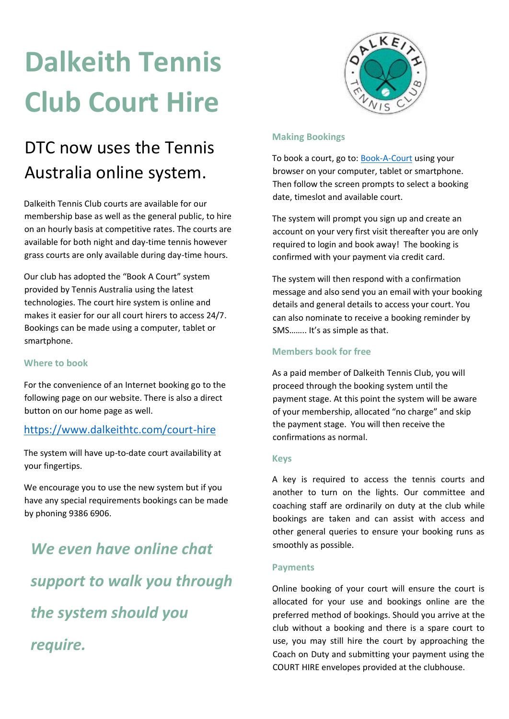## **Dalkeith Tennis Club Court Hire**

# KE

### DTC now uses the Tennis Australia online system.

Dalkeith Tennis Club courts are available for our membership base as well as the general public, to hire on an hourly basis at competitive rates. The courts are available for both night and day-time tennis however grass courts are only available during day-time hours.

Our club has adopted the "Book A Court" system provided by Tennis Australia using the latest technologies. The court hire system is online and makes it easier for our all court hirers to access 24/7. Bookings can be made using a computer, tablet or smartphone.

### **Where to book**

For the convenience of an Internet booking go to the following page on our website. There is also a direct button on our home page as well.

### <https://www.dalkeithtc.com/court-hire>

The system will have up-to-date court availability at your fingertips.

We encourage you to use the new system but if you have any special requirements bookings can be made by phoning 9386 6906.

*We even have online chat support to walk you through the system should you require.*

### **Making Bookings**

To book a court, go to: **Book-A-Court** using your browser on your computer, tablet or smartphone. Then follow the screen prompts to select a booking date, timeslot and available court.

The system will prompt you sign up and create an account on your very first visit thereafter you are only required to login and book away! The booking is confirmed with your payment via credit card.

The system will then respond with a confirmation message and also send you an email with your booking details and general details to access your court. You can also nominate to receive a booking reminder by SMS…….. It's as simple as that.

### **Members book for free**

As a paid member of Dalkeith Tennis Club, you will proceed through the booking system until the payment stage. At this point the system will be aware of your membership, allocated "no charge" and skip the payment stage. You will then receive the confirmations as normal.

### **Keys**

A key is required to access the tennis courts and another to turn on the lights. Our committee and coaching staff are ordinarily on duty at the club while bookings are taken and can assist with access and other general queries to ensure your booking runs as smoothly as possible.

### **Payments**

Online booking of your court will ensure the court is allocated for your use and bookings online are the preferred method of bookings. Should you arrive at the club without a booking and there is a spare court to use, you may still hire the court by approaching the Coach on Duty and submitting your payment using the COURT HIRE envelopes provided at the clubhouse.